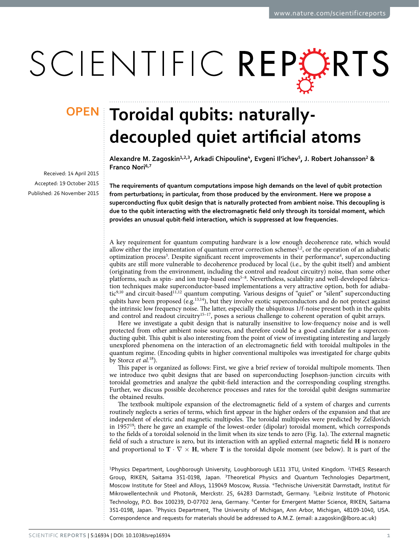# SCIENTIFIC REPERTS

Received: 14 April 2015 accepted: 19 October 2015 Published: 26 November 2015

## **Toroidal qubits: naturally-OPENdecoupled quiet artificial atoms**

**Alexandre M. Zagoskin<sup>1</sup>,2,<sup>3</sup>, Arkadi Chipouline<sup>4</sup>, Evgeni Il'ichev<sup>5</sup>, J. Robert Johansson<sup>2</sup> & Franco Nori<sup>6</sup>,<sup>7</sup>**

**The requirements of quantum computations impose high demands on the level of qubit protection from perturbations; in particular, from those produced by the environment. Here we propose a superconducting flux qubit design that is naturally protected from ambient noise. This decoupling is due to the qubit interacting with the electromagnetic field only through its toroidal moment, which provides an unusual qubit-field interaction, which is suppressed at low frequencies.**

A key requirement for quantum computing hardware is a low enough decoherence rate, which would allow either the implementation of quantum error correction schemes $1,2$  $1,2$ , or the operation of an adiabatic optimization process<sup>[3](#page-6-2)</sup>. Despite significant recent improvements in their performance<sup>[4](#page-6-3)</sup>, superconducting qubits are still more vulnerable to decoherence produced by local (i.e., by the qubit itself) and ambient (originating from the environment, including the control and readout circuitry) noise, than some other platforms, such as spin- and ion trap-based ones<sup>5-8</sup>. Nevertheless, scalability and well-developed fabrication techniques make superconductor-based implementations a very attractive option, both for adiaba-tic<sup>9,[10](#page-6-6)</sup> and circuit-based<sup>11,12</sup> quantum computing. Various designs of "quiet" or "silent" superconducting qubits have been proposed (e.g.<sup>[13,](#page-6-9)[14](#page-6-10)</sup>), but they involve exotic superconductors and do not protect against the intrinsic low frequency noise. The latter, especially the ubiquitous 1/f-noise present both in the qubits and control and readout circuitry<sup>15-17</sup>, poses a serious challenge to coherent operation of qubit arrays.

Here we investigate a qubit design that is naturally insensitive to low-frequency noise and is well protected from other ambient noise sources, and therefore could be a good candidate for a superconducting qubit. This qubit is also interesting from the point of view of investigating interesting and largely unexplored phenomena on the interaction of an electromagnetic field with toroidal multipoles in the quantum regime. (Encoding qubits in higher conventional multipoles was investigated for charge qubits by Storcz *et al.*[18](#page-6-12)).

This paper is organized as follows: First, we give a brief review of toroidal multipole moments. Then we introduce two qubit designs that are based on superconducting Josephson-junction circuits with toroidal geometries and analyze the qubit-field interaction and the corresponding coupling strengths. Further, we discuss possible decoherence processes and rates for the toroidal qubit designs summarize the obtained results.

The textbook multipole expansion of the electromagnetic field of a system of charges and currents routinely neglects a series of terms, which first appear in the higher orders of the expansion and that are independent of electric and magnetic multipoles. The toroidal multipoles were predicted by Zel'dovich in 1957[19;](#page-6-13) there he gave an example of the lowest-order (dipolar) toroidal moment, which corresponds to the fields of a toroidal solenoid in the limit when its size tends to zero ([Fig. 1a\)](#page-1-0). The external magnetic field of such a structure is zero, but its interaction with an applied external magnetic field **H** is nonzero and proportional to  $T \cdot \nabla \times H$ , where T is the toroidal dipole moment (see below). It is part of the

<sup>1</sup>Physics Department, Loughborough University, Loughborough LE11 3TU, United Kingdom. <sup>2</sup>iTHES Research Group, RIKEN, Saitama 351-0198, Japan. <sup>3</sup>Theoretical Physics and Quantum Technologies Department, Moscow Institute for Steel and Alloys, 119049 Moscow, Russia. 4 Technische Universität Darmstadt, Institut für Mikrowellentechnik und Photonik, Merckstr. 25, 64283 Darmstadt, Germany. <sup>5</sup>Leibniz Institute of Photonic Technology, P.O. Box 100239, D-07702 Jena, Germany. <sup>6</sup>Center for Emergent Matter Science, RIKEN, Saitama 351-0198, Japan. 7 Physics Department, The University of Michigan, Ann Arbor, Michigan, 48109-1040, USA. Correspondence and requests for materials should be addressed to A.M.Z. (email: [a.zagoskin@lboro.ac.uk](mailto:a.zagoskin@lboro.ac.uk))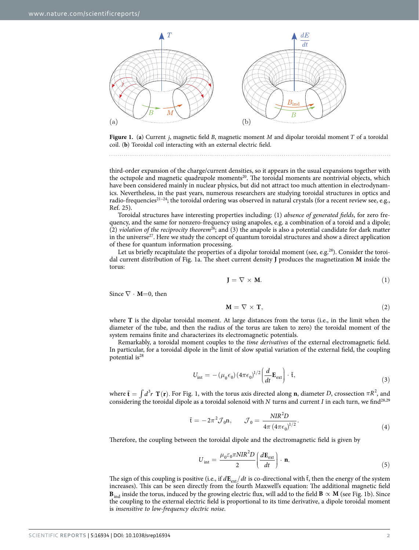

<span id="page-1-0"></span>**Figure 1.** (**a**) Current *j*, magnetic field *B*, magnetic moment *M* and dipolar toroidal moment *T* of a toroidal coil. (**b**) Toroidal coil interacting with an external electric field.

third-order expansion of the charge/current densities, so it appears in the usual expansions together with the octupole and magnetic quadrupole moments<sup>20</sup>. The toroidal moments are nontrivial objects, which have been considered mainly in nuclear physics, but did not attract too much attention in electrodynamics. Nevertheless, in the past years, numerous researchers are studying toroidal structures in optics and radio-frequencies<sup>21-24</sup>; the toroidal ordering was observed in natural crystals (for a recent review see, e.g., Ref. [25](#page-6-16)).

Toroidal structures have interesting properties including: (1) *absence of generated fields*, for zero frequency, and the same for nonzero-frequency using anapoles, e.g. a combination of a toroid and a dipole; (2) *violation of the reciprocity theorem*[26;](#page-6-17) and (3) the anapole is also a potential candidate for dark matter in the universe<sup>27</sup>. Here we study the concept of quantum toroidal structures and show a direct application of these for quantum information processing.

Let us briefly recapitulate the properties of a dipolar toroidal moment (see, e.g.<sup>28</sup>). Consider the toroidal current distribution of [Fig. 1a.](#page-1-0) The sheet current density **J** produces the magnetization **M** inside the torus:

$$
\mathbf{J} = \nabla \times \mathbf{M}.\tag{1}
$$

Since  $\nabla \cdot \mathbf{M} = 0$ , then

$$
\mathbf{M} = \nabla \times \mathbf{T},\tag{2}
$$

where **T** is the dipolar toroidal moment. At large distances from the torus (i.e., in the limit when the diameter of the tube, and then the radius of the torus are taken to zero) the toroidal moment of the system remains finite and characterizes its electromagnetic potentials.

Remarkably, a toroidal moment couples to the *time derivatives* of the external electromagnetic field. In particular, for a toroidal dipole in the limit of slow spatial variation of the external field, the coupling potential  $is^{28}$ 

$$
U_{\rm int} = -\left(\mu_0 \epsilon_0\right) \left(4\pi \epsilon_0\right)^{1/2} \left(\frac{d}{dt} \mathbf{E}_{\rm ext}\right) \cdot \bar{\mathbf{t}},\tag{3}
$$

where  $\bar{\mathbf{t}} = \int d^3 r \, \mathbf{T}(\mathbf{r})$ . For [Fig. 1](#page-1-0), with the torus axis directed along **n**, diameter *D*, crossection  $\pi R^2$ , and considering the toroidal dipole as a toroidal solenoid with *N* turns and current *I* in each turn, we fin[d28](#page-6-19),[29](#page-6-20)

$$
\bar{\mathbf{t}} = -2\pi^2 \mathcal{J}_0 \mathbf{n}, \qquad \mathcal{J}_0 = \frac{NIR^2D}{4\pi \left(4\pi\epsilon_0\right)^{1/2}}.
$$
\n(4)

Therefore, the coupling between the toroidal dipole and the electromagnetic field is given by

$$
U_{\rm int} = \frac{\mu_0 \varepsilon_0 \pi N I R^2 D}{2} \left( \frac{d \mathbf{E}_{\rm ext}}{dt} \right) \cdot \mathbf{n}.
$$
 (5)

The sign of this coupling is positive (i.e., if  $dE_{ext}/dt$  is co-directional with  $\bar{t}$ , then the energy of the system increases). This can be seen directly from the fourth Maxwell's equation: The additional magnetic field **B**<sub>ind</sub> inside the torus, induced by the growing electric flux, will add to the field **B**  $\propto$  **M** (see [Fig. 1b\)](#page-1-0). Since the coupling to the external electric field is proportional to its time derivative, a dipole toroidal moment is *insensitive to low-frequency electric noise*.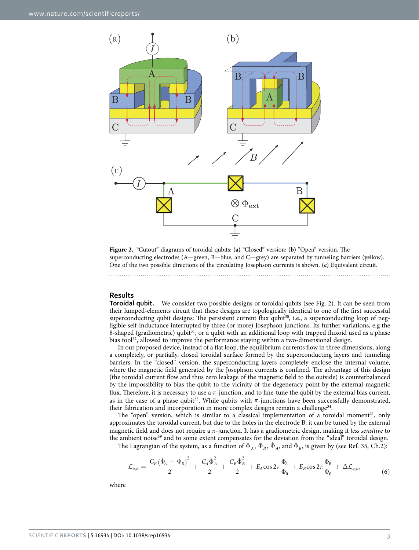

<span id="page-2-0"></span>**Figure 2.** "Cutout" diagrams of toroidal qubits: **(a)** "Closed" version; **(b)** "Open" version. The superconducting electrodes (A—green, B—blue, and C—grey) are separated by tunneling barriers (yellow). One of the two possible directions of the circulating Josephson currents is shown. (**c**) Equivalent circuit.

#### **Results**

**Toroidal qubit.** We consider two possible designs of toroidal qubits (see [Fig. 2\)](#page-2-0). It can be seen from their lumped-elements circuit that these designs are topologically identical to one of the first successful superconducting qubit designs: The persistent current flux qubit<sup>30</sup>, i.e., a superconducting loop of negligible self-inductance interrupted by three (or more) Josephson junctions. Its further variations, e.g the 8-shaped (gradiometric) qubit $31$ , or a qubit with an additional loop with trapped fluxoid used as a phase bias tool $32$ , allowed to improve the performance staying within a two-dimensional design.

In our proposed device, instead of a flat loop, the equilibrium currents flow in three dimensions, along a completely, or partially, closed toroidal surface formed by the superconducting layers and tunneling barriers. In the "closed" version, the superconducting layers completely enclose the internal volume, where the magnetic field generated by the Josephson currents is confined. The advantage of this design (the toroidal current flow and thus zero leakage of the magnetic field to the outside) is counterbalanced by the impossibility to bias the qubit to the vicinity of the degeneracy point by the external magnetic flux. Therefore, it is necessary to use a  $\pi$ -junction, and to fine-tune the qubit by the external bias current, as in the case of a phase qubit<sup>33</sup>. While qubits with  $\pi$ -junctions have been successfully demonstrated, their fabrication and incorporation in more complex designs remain a challenge $34$ .

The "open" version, which is similar to a classical implementation of a toroidal moment<sup>[21](#page-6-15)</sup>, only approximates the toroidal current, but due to the holes in the electrode B, it can be tuned by the external magnetic field and does not require a *π*-junction. It has a gradiometric design, making it *less sensitive* to the ambient noise<sup>39</sup> and to some extent compensates for the deviation from the "ideal" toroidal design.

The Lagrangian of the system, as a function of  $\Phi_A$ ,  $\Phi_B$ ,  $\dot{\Phi}_A$ , and  $\dot{\Phi}_B$ , is given by (see Ref. [35](#page-6-27), Ch.2):

$$
\mathcal{L}_{a,b} = \frac{C_F (\dot{\Phi}_A - \dot{\Phi}_B)^2}{2} + \frac{C_A \dot{\Phi}_A^2}{2} + \frac{C_B \dot{\Phi}_B^2}{2} + E_A \cos 2\pi \frac{\Phi_A}{\Phi_0} + E_B \cos 2\pi \frac{\Phi_B}{\Phi_0} + \Delta \mathcal{L}_{a,b},
$$
(6)

where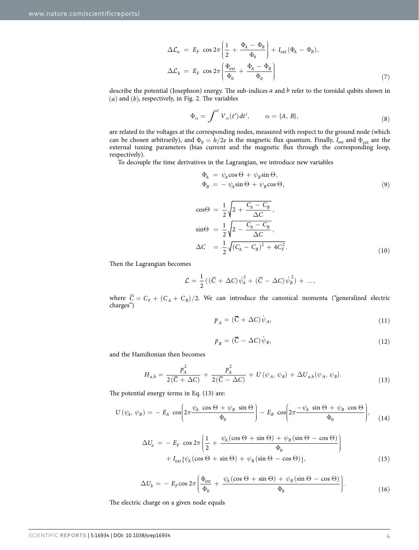$$
\Delta \mathcal{L}_a = E_F \cos 2\pi \left( \frac{1}{2} + \frac{\Phi_A - \Phi_B}{\Phi_0} \right) + I_{\text{ext}} (\Phi_A - \Phi_B),
$$
  

$$
\Delta \mathcal{L}_b = E_F \cos 2\pi \left( \frac{\Phi_{\text{ext}}}{\Phi_0} + \frac{\Phi_A - \Phi_B}{\Phi_0} \right)
$$
(7)

describe the potential (Josephson) energy. The sub-indices *a* and *b* refer to the toroidal qubits shown in  $(a)$  and  $(b)$ , respectively, in [Fig. 2](#page-2-0). The variables

$$
\Phi_{\alpha} = \int^{t} V_{\alpha}(t') dt', \qquad \alpha = \{A, B\},
$$
\n(8)

are related to the voltages at the corresponding nodes, measured with respect to the ground node (which can be chosen arbitrarily), and  $\Phi_0 = h/2e$  is the magnetic flux quantum. Finally,  $I_{ext}$  and  $\Phi_{ext}$  are the external tuning parameters (bias current and the magnetic flux through the corresponding loop, respectively).

To decouple the time derivatives in the Lagrangian, we introduce new variables

$$
\begin{aligned}\n\Phi_A &= \psi_A \cos \Theta + \psi_B \sin \Theta, \\
\Phi_B &= -\psi_A \sin \Theta + \psi_B \cos \Theta,\n\end{aligned} \tag{9}
$$

$$
\cos\Theta = \frac{1}{2}\sqrt{2 + \frac{C_A - C_B}{\Delta C}},
$$
  
\n
$$
\sin\Theta = \frac{1}{2}\sqrt{2 - \frac{C_A - C_B}{\Delta C}},
$$
  
\n
$$
\Delta C = \frac{1}{2}\sqrt{(C_A - C_B)^2 + 4C_F^2}.
$$
\n(10)

Then the Lagrangian becomes

$$
\mathcal{L} = \frac{1}{2} \left( (\overline{C} + \Delta C) \dot{\psi}_A^2 + (\overline{C} - \Delta C) \dot{\psi}_B^2 \right) + \dots,
$$

where  $\overline{C} = C_F + (C_A + C_B)/2$ . We can introduce the canonical momenta ("generalized electric charges")

$$
p_A = (\overline{C} + \Delta C) \dot{\psi}_A,\tag{11}
$$

$$
p_B = (\overline{C} - \Delta C) \dot{\psi}_B, \tag{12}
$$

and the Hamiltonian then becomes

$$
H_{a,b} = \frac{p_A^2}{2(\overline{C} + \Delta C)} + \frac{p_A^2}{2(\overline{C} - \Delta C)} + U(\psi_A, \psi_B) + \Delta U_{a,b}(\psi_A, \psi_B).
$$
 (13)

The potential energy terms in Eq. (13) are:

$$
U(\psi_A, \psi_B) = -E_A \cos \left(2\pi \frac{\psi_A \cos \Theta + \psi_B \sin \Theta}{\Phi_0}\right) - E_B \cos \left(2\pi \frac{-\psi_A \sin \Theta + \psi_B \cos \Theta}{\Phi_0}\right), \quad (14)
$$

$$
\Delta U_a = -E_F \cos 2\pi \left( \frac{1}{2} + \frac{\psi_A (\cos \Theta + \sin \Theta) + \psi_B (\sin \Theta - \cos \Theta)}{\Phi_0} \right) + I_{ext} [\psi_A (\cos \Theta + \sin \Theta) + \psi_B (\sin \Theta - \cos \Theta)], \tag{15}
$$

$$
\Delta U_b = - E_F \cos 2\pi \left( \frac{\Phi_{ext}}{\Phi_0} + \frac{\psi_A (\cos \Theta + \sin \Theta) + \psi_B (\sin \Theta - \cos \Theta)}{\Phi_0} \right).
$$
 (16)

The electric charge on a given node equals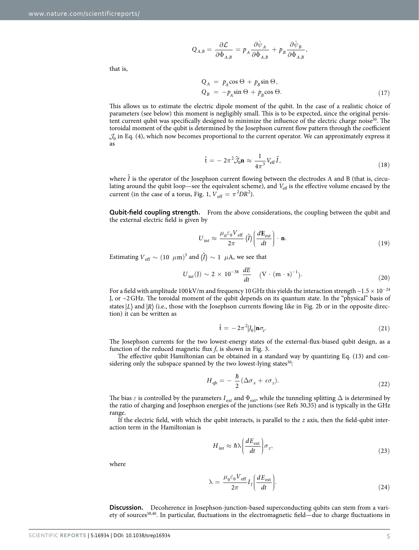$$
Q_{A,B}=\frac{\partial \mathcal{L}}{\partial \dot{\Phi}_{A,B}}=p_A\frac{\partial \dot{\psi}_A}{\partial \dot{\Phi}_{A,B}}+p_B\frac{\partial \dot{\psi}_B}{\partial \dot{\Phi}_{A,B}},
$$

that is,

$$
Q_A = p_A \cos \Theta + p_B \sin \Theta,
$$
  
\n
$$
Q_B = -p_A \sin \Theta + p_B \cos \Theta.
$$
\n(17)

This allows us to estimate the electric dipole moment of the qubit. In the case of a realistic choice of parameters (see below) this moment is negligibly small. This is to be expected, since the original persistent current qubit was specifically designed to minimize the influence of the electric charge noise<sup>30</sup>. The toroidal moment of the qubit is determined by the Josephson current flow pattern through the coefficient  $\mathcal{J}_0$  in Eq. (4), which now becomes proportional to the current operator. We can approximately express it as

$$
\hat{\mathbf{t}} = -2\pi^2 \hat{\mathcal{J}}_0 \mathbf{n} \approx \frac{1}{4\pi^3} V_{\text{eff}} \hat{I},\tag{18}
$$

where  $\hat{I}$  is the operator of the Josephson current flowing between the electrodes A and B (that is, circulating around the qubit loop—see the equivalent scheme), and *V<sub>eff</sub>* is the effective volume encased by the current (in the case of a torus, [Fig. 1](#page-1-0),  $V_{\text{eff}} = \pi^2 D R^2$ ).

**Qubit-field coupling strength.** From the above considerations, the coupling between the qubit and the external electric field is given by

$$
U_{\text{int}} \approx \frac{\mu_0 \varepsilon_0 V_{\text{eff}}}{2\pi} \langle \hat{I} \rangle \left( \frac{d\mathbf{E}_{\text{ext}}}{dt} \right) \cdot \mathbf{n}.
$$
 (19)

Estimating  $V_{\text{eff}} \sim (10 \ \mu \text{m})^3$  and  $\langle \hat{I} \rangle \sim 1 \ \mu \text{A}$ , we see that

$$
U_{\rm int}(J) \sim 2 \times 10^{-38} \frac{dE}{dt} \quad (V \cdot (m \cdot s)^{-1}). \tag{20}
$$

For a field with amplitude 100 kV/m and frequency 10 GHz this yields the interaction strength ~1.5  $\times$  10<sup>-24</sup> J, or ~2GHz. The toroidal moment of the qubit depends on its quantum state. In the "physical" basis of states  $|L\rangle$  and  $|R\rangle$  (i.e., those with the Josephson currents flowing like in [Fig. 2b](#page-2-0) or in the opposite direction) it can be written as

$$
\hat{\mathbf{t}} = -2\pi^2 |J_0| \mathbf{n} \sigma_z.
$$
 (21)

The Josephson currents for the two lowest-energy states of the external-flux-biased qubit design, as a function of the reduced magnetic flux *f*, is shown in [Fig. 3.](#page-5-0)

The effective qubit Hamiltonian can be obtained in a standard way by quantizing Eq. (13) and considering only the subspace spanned by the two lowest-lying states $30$ :

$$
H_{\rm qb} = -\frac{\hbar}{2} (\Delta \sigma_x + \epsilon \sigma_z). \tag{22}
$$

The bias  $\varepsilon$  is controlled by the parameters  $I_{ext}$  and  $\Phi_{ext}$ , while the tunneling splitting  $\Delta$  is determined by the ratio of charging and Josephson energies of the junctions (see Refs [30](#page-6-21)[,35\)](#page-6-27) and is typically in the GHz range.

If the electric field, with which the qubit interacts, is parallel to the *z* axis, then the field-qubit interaction term in the Hamiltonian is

$$
H_{\text{int}} \approx \hbar \lambda \left( \frac{dE_{\text{ext}}}{dt} \right) \sigma_z, \tag{23}
$$

where

$$
\lambda = \frac{\mu_0 \varepsilon_0 V_{\text{eff}}}{2\pi} I_J \left( \frac{dE_{\text{ext}}}{dt} \right). \tag{24}
$$

**Discussion.** Decoherence in Josephson-junction-based superconducting qubits can stem from a vari-ety of sources<sup>[38,](#page-6-28)[40](#page-6-29)</sup>. In particular, fluctuations in the electromagnetic field—due to charge fluctuations in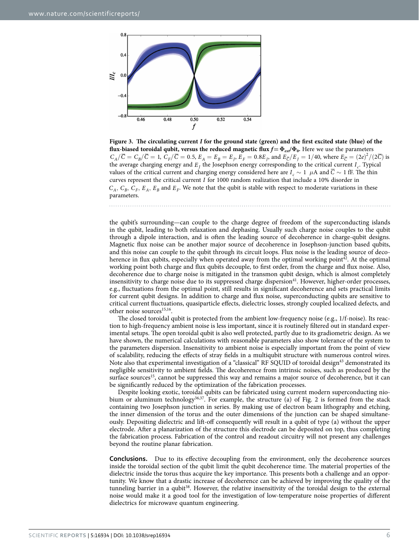

<span id="page-5-0"></span>**Figure 3. The circulating current** *I* **for the ground state (green) and the first excited state (blue) of the flux-biased toroidal qubit, versus the reduced magnetic flux**  $f = \Phi_{ext}/\Phi_0$ **. Here we use the parameters**  $C_A/\overline{C} = C_B/\overline{C} = 1$ ,  $C_F/\overline{C} = 0.5$ ,  $E_A = E_B = E_J$ ,  $E_F = 0.8E_J$ , and  $E_{\overline{C}}/E_J = 1/40$ , where  $E_{\overline{C}} = (2e)^2/(2\overline{C})$  is the average charging energy and  $E_j$  the Josephson energy corresponding to the critical current  $I_c$ . Typical values of the critical current and charging energy considered here are *Ic* ∼ 1 *µ*A and *C* ∼ 1 fF. The thin curves represent the critical current *I* for 1000 random realization that include a 10% disorder in  $C_A$ ,  $C_B$ ,  $C_F$ ,  $E_A$ ,  $E_B$  and  $E_F$ . We note that the qubit is stable with respect to moderate variations in these parameters.

the qubit's surrounding—can couple to the charge degree of freedom of the superconducting islands in the qubit, leading to both relaxation and dephasing. Usually such charge noise couples to the qubit through a dipole interaction, and is often the leading source of decoherence in charge-qubit designs. Magnetic flux noise can be another major source of decoherence in Josephson-junction based qubits, and this noise can couple to the qubit through its circuit loops. Flux noise is the leading source of decoherence in flux qubits, especially when operated away from the optimal working point $^{42}$ . At the optimal working point both charge and flux qubits decouple, to first order, from the charge and flux noise. Also, decoherence due to charge noise is mitigated in the transmon qubit design, which is almost completely insensitivity to charge noise due to its suppressed charge dispersion<sup>41</sup>. However, higher-order processes, e.g., fluctuations from the optimal point, still results in significant decoherence and sets practical limits for current qubit designs. In addition to charge and flux noise, superconducting qubits are sensitive to critical current fluctuations, quasiparticle effects, dielectric losses, strongly coupled localized defects, and other noise sources<sup>[15,](#page-6-11)[16](#page-6-32)</sup>.

The closed toroidal qubit is protected from the ambient low-frequency noise (e.g., 1/f-noise). Its reaction to high-frequency ambient noise is less important, since it is routinely filtered out in standard experimental setups. The open toroidal qubit is also well protected, partly due to its gradiometric design. As we have shown, the numerical calculations with reasonable parameters also show tolerance of the system to the parameters dispersion. Insensitivity to ambient noise is especially important from the point of view of scalability, reducing the effects of stray fields in a multiqubit structure with numerous control wires. Note also that experimental investigation of a "classical" RF SQUID of toroidal design<sup>[43](#page-6-33)</sup> demonstrated its negligible sensitivity to ambient fields. The decoherence from intrinsic noises, such as produced by the surface sources<sup>15</sup>, cannot be suppressed this way and remains a major source of decoherence, but it can be significantly reduced by the optimization of the fabrication processes.

Despite looking exotic, toroidal qubits can be fabricated using current modern superconducting nio-bium or aluminum technology<sup>[36,](#page-6-34)[37](#page-6-35)</sup>. For example, the structure (a) of Fig. 2 is formed from the stack containing two Josephson junction in series. By making use of electron beam lithography and etching, the inner dimension of the torus and the outer dimensions of the junction can be shaped simultaneously. Depositing dielectric and lift-off consequently will result in a qubit of type (a) without the upper electrode. After a planarization of the structure this electrode can be deposited on top, thus completing the fabrication process. Fabrication of the control and readout circuitry will not present any challenges beyond the routine planar fabrication.

**Conclusions.** Due to its effective decoupling from the environment, only the decoherence sources inside the toroidal section of the qubit limit the qubit decoherence time. The material properties of the dielectric inside the torus thus acquire the key importance. This presents both a challenge and an opportunity. We know that a drastic increase of decoherence can be achieved by improving the quality of the tunneling barrier in a qubit<sup>38</sup>. However, the relative insensitivity of the toroidal design to the external noise would make it a good tool for the investigation of low-temperature noise properties of different dielectrics for microwave quantum engineering.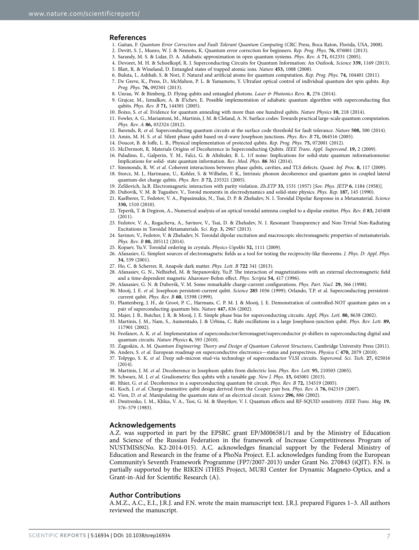#### **References**

- <span id="page-6-0"></span>1. Gaitan, F. *Quantum Error Correction and Fault Tolerant Quantum Computing* (CRC Press, Boca Raton, Florida, USA, 2008).
- 2. Devitt, S. J., Munro, W. J. & Nemoto, K. Quantum error correction for beginners. *Rep. Prog. Phys.* **76,** 076001 (2013).
- <span id="page-6-3"></span><span id="page-6-2"></span><span id="page-6-1"></span>3. Sarandy, M. S. & Lidar, D. A. Adiabatic approximation in open quantum systems. *Phys. Rev. A* **71,** 012331 (2005).
- <span id="page-6-4"></span>4. Devoret, M. H. & Schoelkopf, R. J. Superconducting Circuits for Quantum Information: An Outlook. *Science* **339,** 1169 (2013). 5. Blatt, R. & Wineland, D. Entangled states of trapped atomic ions. *Nature* **453,** 1008 (2008).
- 6. Buluta, I., Ashhab, S. & Nori, F. Natural and artificial atoms for quantum computation. *Rep. Prog. Phys.* **74,** 104401 (2011).
- 7. De Greve, K., Press, D., McMahon, P. L. & Yamamoto, Y. Ultrafast optical control of individual quantum dot spin qubits. *Rep. Prog. Phys.* **76,** 092501 (2013).
- <span id="page-6-5"></span>8. Unrau, W. & Bimberg, D. Flying qubits and entangled photons. *Laser & Photonics Revs.* **8,** 276 (2014).
- 9. Grajcar, M., Izmalkov, A. & Il'ichev, E. Possible implementation of adiabatic quantum algorithm with superconducting flux qubits. *Phys. Rev. B* **71,** 144501 (2005).
- <span id="page-6-6"></span>10. Boixo, S. *et al.* Evidence for quantum annealing with more than one hundred qubits. *Nature Physics* **10,** 218 (2014).
- <span id="page-6-7"></span>11. Fowler, A. G., Mariantoni, M., Martinis, J. M. & Cleland, A. N. Surface codes: Towards practical large-scale quantum computation. *Phys. Rev. A* **86,** 032324 (2012).
- <span id="page-6-8"></span>12. Barends, R. *et al.* Superconducting quantum circuits at the surface code threshold for fault tolerance. *Nature* **508,** 500 (2014).
- <span id="page-6-10"></span><span id="page-6-9"></span>13. Amin, M. H. S. *et al.* Silent phase qubit based on d-wave Josephson junctions. *Phys. Rev. B* **71,** 064516 (2005).
- 14. Doucot, B. & Ioffe, L. B., Physical implementation of protected qubits. *Rep. Prog. Phys.* **75,** 072001 (2012).
- <span id="page-6-11"></span>15. McDermott, R. Materials Origins of Decoherence in Superconducting Qubits. *IEEE Trans. Appl. Supercond.* **19,** 2 (2009).
- <span id="page-6-32"></span>16. Paladino, E., Galperin, Y. M., Falci, G. & Altshuler, B. L. 1/f noise: Implications for solid-state quantum informationnoise: Implications for solid- state quantum information. *Rev. Mod. Phys.* **86** 361 (2014).
- 17. Simmonds, R. W. *et al.* Coherent interactions between phase qubits, cavities, and TLS defects. *Quant. Inf. Proc.* **8,** 117 (2009).
- <span id="page-6-12"></span>18. Storcz, M. J., Hartmann, U., Kohler, S. & Wilhelm, F. K., Intrinsic phonon decoherence and quantum gates in coupled lateral quantum-dot charge qubits. *Phys. Rev. B* **72,** 235321 (2005).
- <span id="page-6-13"></span>19. Zel'dovich, Ia.B. Electromagnetic interaction with parity violation. *Zh.ETP* **33,** 1531 (1957) [*Sov. Phys. JETP* **6**, 1184 (1958)].
- 20. Dubovik, V. M. & Tugushev, V., Toroid moments in electrodynamics and solid-state physics. *Phys. Rep.* **187,** 145 (1990).
- <span id="page-6-15"></span><span id="page-6-14"></span>21. Kaelberer, T., Fedotov, V. A., Papasimakis, N., Tsai, D. P. & Zheludev, N. I. Toroidal Dipolar Response in a Metamaterial. *Science* **330,** 1510 (2010).
- 22. Teperik, T. & Degiron, A., Numerical analysis of an optical toroidal antenna coupled to a dipolar emitter. *Phys. Rev. B* **83,** 245408  $(2011)$
- 23. Fedotov, V. A., Rogacheva, A., Savinov, V., Tsai, D. & Zheludev, N. I. Resonant Transparency and Non-Trivial Non-Radiating Excitations in Toroidal Metamaterials. *Sci. Rep.* **3,** 2967 (2013).
- 24. Savinov, V., Fedotov, V. & Zheludev, N. Toroidal dipolar excitation and macroscopic electromagnetic properties of metamaterials. *Phys. Rev. B* **80,** 205112 (2014).
- <span id="page-6-17"></span><span id="page-6-16"></span>25. Kopaev, Yu.V. Toroidal ordering in crystals. *Physics-Uspekhi* **52,** 1111 (2009).
- 26. Afanasiev, G. Simplest sources of electromagnetic fields as a tool for testing the reciprocity-like theorems. *J. Phys. D: Appl. Phys.* **34,** 539 (2001).
- <span id="page-6-18"></span>27. Ho, C. & Scherrer, R. Anapole dark matter. *Phys. Lett. B* **722** 341 (2013).
- <span id="page-6-19"></span>28. Afanasiev, G. N., Nelhiebel, M. & Stepanovskiy, Yu.P. The interaction of magnetizations with an external electromagnetic field and a time-dependent magnetic Aharonov-Bohm effect. *Phys. Scripta* **54,** 417 (1996).
- <span id="page-6-21"></span><span id="page-6-20"></span>29. Afanasiev, G. N. & Dubovik, V. M. Some remarkable charge-current configurations. *Phys. Part. Nucl.* **29,** 366 (1998).
- 30. Mooij, J. E. *et al.* Josephson persistent-current qubit. *Science* **285** 1036 (1999); Orlando, T.P. et al. Superconducting persistentcurrent qubit. *Phys. Rev. B* **60**, 15398 (1999).
- <span id="page-6-22"></span>31. Plantenberg, J. H., de Groot, P. C., Harmans, C. P. M. J. & Mooij, J. E. Demonstration of controlled-NOT quantum gates on a pair of superconducting quantum bits. *Nature* **447,** 836 (2002).
- <span id="page-6-23"></span>32. Majer, J. B., Butcher, J. R. & Mooij, J. E. Simple phase bias for superconducting circuits. *Appl, Phys. Lett.* **80,** 8638 (2002).
- <span id="page-6-24"></span>33. Martinis, J. M., Nam, S., Aumentado, J. & Urbina, C. Rabi oscillations in a large Josephson-junction qubit. *Phys. Rev. Lett.* **89,** 117901 (2002).
- <span id="page-6-25"></span>34. Feofanov, A. K. *et al.* Implementation of superconductor/ferromagnet/superconductor pi-shifters in superconducting digital and quantum circuits. *Nature Physics* **6,** 593 (2010).
- <span id="page-6-27"></span>35. Zagoskin, A. M. *Quantum Engineering: Theory and Design of Quantum Coherent Structures*, Cambridge University Press (2011).
- <span id="page-6-34"></span>36. Anders, S. *et al.* European roadmap on superconductive electronics—status and perspectives. *Physica C* **470,** 2079 (2010).
- <span id="page-6-35"></span>37. Tolpygo, S. K. *et al.* Deep sub-micron stud-via technology of superconductor VLSI circuits. *Supercond. Sci. Tech.* **27,** 025016 (2014).
- <span id="page-6-28"></span><span id="page-6-26"></span>38. Martinis, J. M. *et al.* Decoherence in Josephson qubits from dielectric loss. *Phys. Rev. Lett.* **95,** 210503 (2005).
- 39. Schwarz, M. J. *et al.* Gradiometric flux qubits with a tunable gap. *New J. Phys.* **15,** 045001 (2013).
- <span id="page-6-29"></span>40. Ithier, G. *et al.* Decoherence in a superconducting quantum bit circuit. *Phys. Rev. B* **72,** 134519 (2005).
- <span id="page-6-31"></span>41. Koch, J. *et al.* Charge-insensitive qubit design derived from the Cooper pair box. *Phys. Rev. A* **76,** 042319 (2007).
- <span id="page-6-30"></span>42. Vion, D. *et al.* Manipulating the quantum state of an electrical circuit. *Science* **296,** 886 (2002).
- <span id="page-6-33"></span>43. Dmitrenko, I. M., Khlus, V. A., Tsoi, G. M. & Shnyrkov, V. I. Quantum effects and RF-SQUID sensitivity. *IEEE Trans. Mag.* **19,** 576–579 (1983).

#### **Acknowledgements**

A.Z. was supported in part by the EPSRC grant EP/M006581/1 and by the Ministry of Education and Science of the Russian Federation in the framework of Increase Competitiveness Program of NUSTMISiS(No. K2-2014-015). A.C. acknowledges financial support by the Federal Ministry of Education and Research in the frame of a PhoNa Project. E.I. acknowledges funding from the European Community's Seventh Framework Programme (FP7/2007-2013) under Grant No. 270843 (iQIT). F.N. is partially supported by the RIKEN iTHES Project, MURI Center for Dynamic Magneto-Optics, and a Grant-in-Aid for Scientific Research (A).

#### **Author Contributions**

A.M.Z., A.C., E.I., J.R.J. and F.N. wrote the main manuscript text. J.R.J. prepared Figures 1–3. All authors reviewed the manuscript.